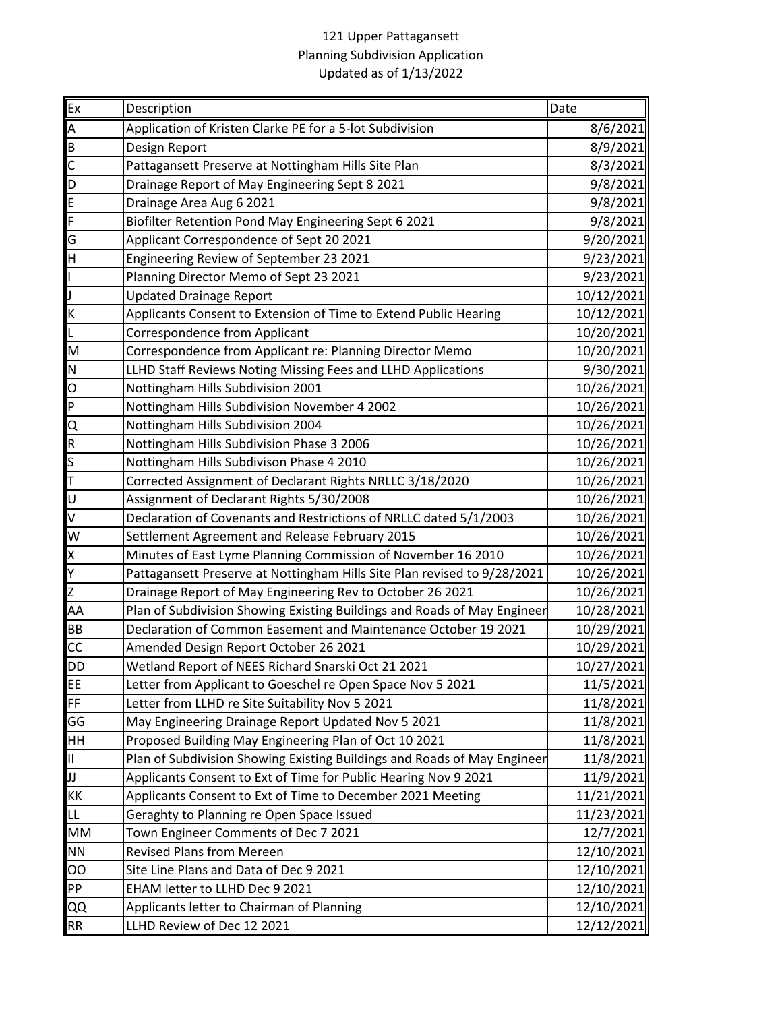## 121 Upper Pattagansett Planning Subdivision Application Updated as of 1/13/2022

| Ex                      | Description                                                              | Date       |
|-------------------------|--------------------------------------------------------------------------|------------|
| A                       | Application of Kristen Clarke PE for a 5-lot Subdivision                 | 8/6/2021   |
| B                       | Design Report                                                            | 8/9/2021   |
| $\overline{\mathsf{C}}$ | Pattagansett Preserve at Nottingham Hills Site Plan                      | 8/3/2021   |
| $\overline{\mathsf{D}}$ | Drainage Report of May Engineering Sept 8 2021                           | 9/8/2021   |
| E                       | Drainage Area Aug 6 2021                                                 | 9/8/2021   |
| F                       | Biofilter Retention Pond May Engineering Sept 6 2021                     | 9/8/2021   |
| G                       | Applicant Correspondence of Sept 20 2021                                 | 9/20/2021  |
| Η                       | Engineering Review of September 23 2021                                  | 9/23/2021  |
| I                       | Planning Director Memo of Sept 23 2021                                   | 9/23/2021  |
| J                       | <b>Updated Drainage Report</b>                                           | 10/12/2021 |
| K                       | Applicants Consent to Extension of Time to Extend Public Hearing         | 10/12/2021 |
| L                       | <b>Correspondence from Applicant</b>                                     | 10/20/2021 |
| M                       | Correspondence from Applicant re: Planning Director Memo                 | 10/20/2021 |
| N                       | LLHD Staff Reviews Noting Missing Fees and LLHD Applications             | 9/30/2021  |
| O                       | Nottingham Hills Subdivision 2001                                        | 10/26/2021 |
| P                       | Nottingham Hills Subdivision November 4 2002                             | 10/26/2021 |
| O                       | Nottingham Hills Subdivision 2004                                        | 10/26/2021 |
| $\overline{R}$          | Nottingham Hills Subdivision Phase 3 2006                                | 10/26/2021 |
| $\mathsf{s}$            | Nottingham Hills Subdivison Phase 4 2010                                 | 10/26/2021 |
| $\overline{\mathsf{T}}$ | Corrected Assignment of Declarant Rights NRLLC 3/18/2020                 | 10/26/2021 |
| U                       | Assignment of Declarant Rights 5/30/2008                                 | 10/26/2021 |
| V                       | Declaration of Covenants and Restrictions of NRLLC dated 5/1/2003        | 10/26/2021 |
| W                       | Settlement Agreement and Release February 2015                           | 10/26/2021 |
| X                       | Minutes of East Lyme Planning Commission of November 16 2010             | 10/26/2021 |
| Y                       | Pattagansett Preserve at Nottingham Hills Site Plan revised to 9/28/2021 | 10/26/2021 |
| Z                       | Drainage Report of May Engineering Rev to October 26 2021                | 10/26/2021 |
| AA                      | Plan of Subdivision Showing Existing Buildings and Roads of May Engineer | 10/28/2021 |
| BB                      | Declaration of Common Easement and Maintenance October 19 2021           | 10/29/2021 |
| $\overline{cc}$         | Amended Design Report October 26 2021                                    | 10/29/2021 |
| DD                      | Wetland Report of NEES Richard Snarski Oct 21 2021                       | 10/27/2021 |
| EE                      | Letter from Applicant to Goeschel re Open Space Nov 5 2021               | 11/5/2021  |
| FF                      | Letter from LLHD re Site Suitability Nov 5 2021                          | 11/8/2021  |
| GG                      | May Engineering Drainage Report Updated Nov 5 2021                       | 11/8/2021  |
| HH                      | Proposed Building May Engineering Plan of Oct 10 2021                    | 11/8/2021  |
| IП                      | Plan of Subdivision Showing Existing Buildings and Roads of May Engineer | 11/8/2021  |
| JJ                      | Applicants Consent to Ext of Time for Public Hearing Nov 9 2021          | 11/9/2021  |
| KK                      | Applicants Consent to Ext of Time to December 2021 Meeting               | 11/21/2021 |
| LL                      | Geraghty to Planning re Open Space Issued                                | 11/23/2021 |
| <b>MM</b>               | Town Engineer Comments of Dec 7 2021                                     | 12/7/2021  |
| <b>NN</b>               | <b>Revised Plans from Mereen</b>                                         | 12/10/2021 |
| OO                      | Site Line Plans and Data of Dec 9 2021                                   | 12/10/2021 |
| PP                      | EHAM letter to LLHD Dec 9 2021                                           | 12/10/2021 |
| QQ                      | Applicants letter to Chairman of Planning                                | 12/10/2021 |
| <b>RR</b>               | LLHD Review of Dec 12 2021                                               | 12/12/2021 |